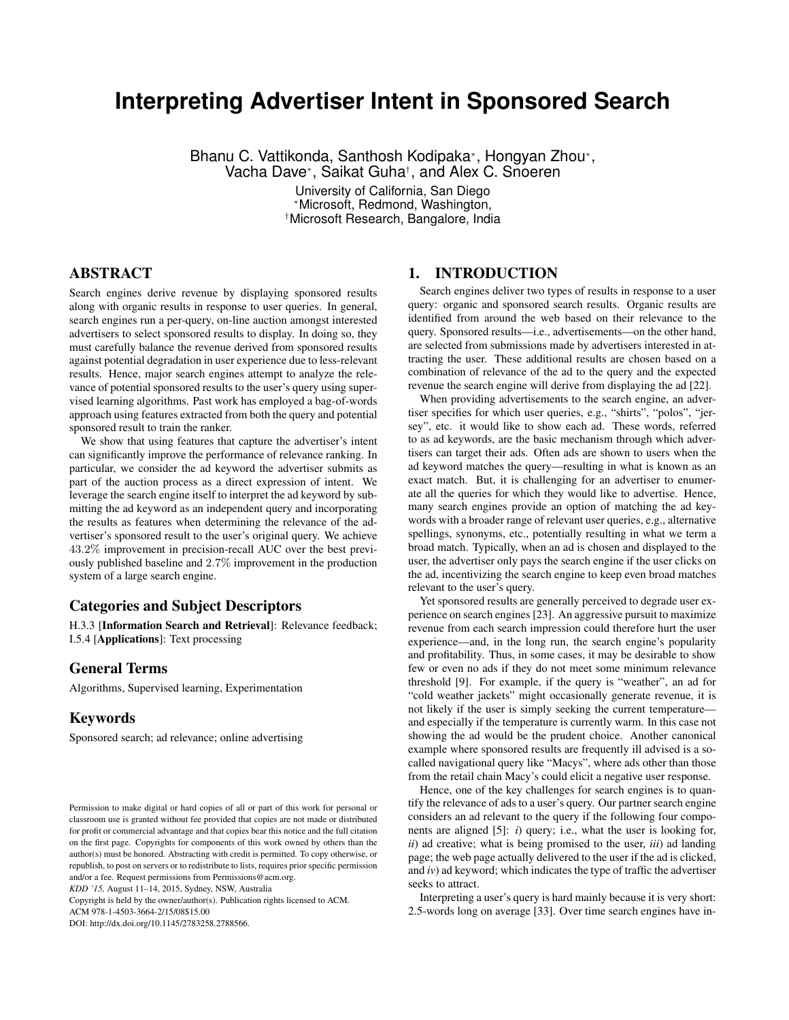# **Interpreting Advertiser Intent in Sponsored Search**

Bhanu C. Vattikonda, Santhosh Kodipaka<sup>∗</sup> , Hongyan Zhou<sup>∗</sup> , Vacha Dave<sup>∗</sup> , Saikat Guha† , and Alex C. Snoeren

> University of California, San Diego <sup>∗</sup>Microsoft, Redmond, Washington, †Microsoft Research, Bangalore, India

# ABSTRACT

Search engines derive revenue by displaying sponsored results along with organic results in response to user queries. In general, search engines run a per-query, on-line auction amongst interested advertisers to select sponsored results to display. In doing so, they must carefully balance the revenue derived from sponsored results against potential degradation in user experience due to less-relevant results. Hence, major search engines attempt to analyze the relevance of potential sponsored results to the user's query using supervised learning algorithms. Past work has employed a bag-of-words approach using features extracted from both the query and potential sponsored result to train the ranker.

We show that using features that capture the advertiser's intent can significantly improve the performance of relevance ranking. In particular, we consider the ad keyword the advertiser submits as part of the auction process as a direct expression of intent. We leverage the search engine itself to interpret the ad keyword by submitting the ad keyword as an independent query and incorporating the results as features when determining the relevance of the advertiser's sponsored result to the user's original query. We achieve 43.2% improvement in precision-recall AUC over the best previously published baseline and 2.7% improvement in the production system of a large search engine.

## Categories and Subject Descriptors

H.3.3 [Information Search and Retrieval]: Relevance feedback; I.5.4 [Applications]: Text processing

## General Terms

Algorithms, Supervised learning, Experimentation

## Keywords

Sponsored search; ad relevance; online advertising

*KDD '15,* August 11–14, 2015, Sydney, NSW, Australia

Copyright is held by the owner/author(s). Publication rights licensed to ACM.

ACM 978-1-4503-3664-2/15/08\$15.00

DOI: http://dx.doi.org/10.1145/2783258.2788566.

## 1. INTRODUCTION

Search engines deliver two types of results in response to a user query: organic and sponsored search results. Organic results are identified from around the web based on their relevance to the query. Sponsored results—i.e., advertisements—on the other hand, are selected from submissions made by advertisers interested in attracting the user. These additional results are chosen based on a combination of relevance of the ad to the query and the expected revenue the search engine will derive from displaying the ad [22].

When providing advertisements to the search engine, an advertiser specifies for which user queries, e.g., "shirts", "polos", "jersey", etc. it would like to show each ad. These words, referred to as ad keywords, are the basic mechanism through which advertisers can target their ads. Often ads are shown to users when the ad keyword matches the query—resulting in what is known as an exact match. But, it is challenging for an advertiser to enumerate all the queries for which they would like to advertise. Hence, many search engines provide an option of matching the ad keywords with a broader range of relevant user queries, e.g., alternative spellings, synonyms, etc., potentially resulting in what we term a broad match. Typically, when an ad is chosen and displayed to the user, the advertiser only pays the search engine if the user clicks on the ad, incentivizing the search engine to keep even broad matches relevant to the user's query.

Yet sponsored results are generally perceived to degrade user experience on search engines [23]. An aggressive pursuit to maximize revenue from each search impression could therefore hurt the user experience—and, in the long run, the search engine's popularity and profitability. Thus, in some cases, it may be desirable to show few or even no ads if they do not meet some minimum relevance threshold [9]. For example, if the query is "weather", an ad for "cold weather jackets" might occasionally generate revenue, it is not likely if the user is simply seeking the current temperature and especially if the temperature is currently warm. In this case not showing the ad would be the prudent choice. Another canonical example where sponsored results are frequently ill advised is a socalled navigational query like "Macys", where ads other than those from the retail chain Macy's could elicit a negative user response.

Hence, one of the key challenges for search engines is to quantify the relevance of ads to a user's query. Our partner search engine considers an ad relevant to the query if the following four components are aligned [5]: *i*) query; i.e., what the user is looking for, *ii*) ad creative; what is being promised to the user, *iii*) ad landing page; the web page actually delivered to the user if the ad is clicked, and *iv*) ad keyword; which indicates the type of traffic the advertiser seeks to attract.

Interpreting a user's query is hard mainly because it is very short: 2.5-words long on average [33]. Over time search engines have in-

Permission to make digital or hard copies of all or part of this work for personal or classroom use is granted without fee provided that copies are not made or distributed for profit or commercial advantage and that copies bear this notice and the full citation on the first page. Copyrights for components of this work owned by others than the author(s) must be honored. Abstracting with credit is permitted. To copy otherwise, or republish, to post on servers or to redistribute to lists, requires prior specific permission and/or a fee. Request permissions from Permissions@acm.org.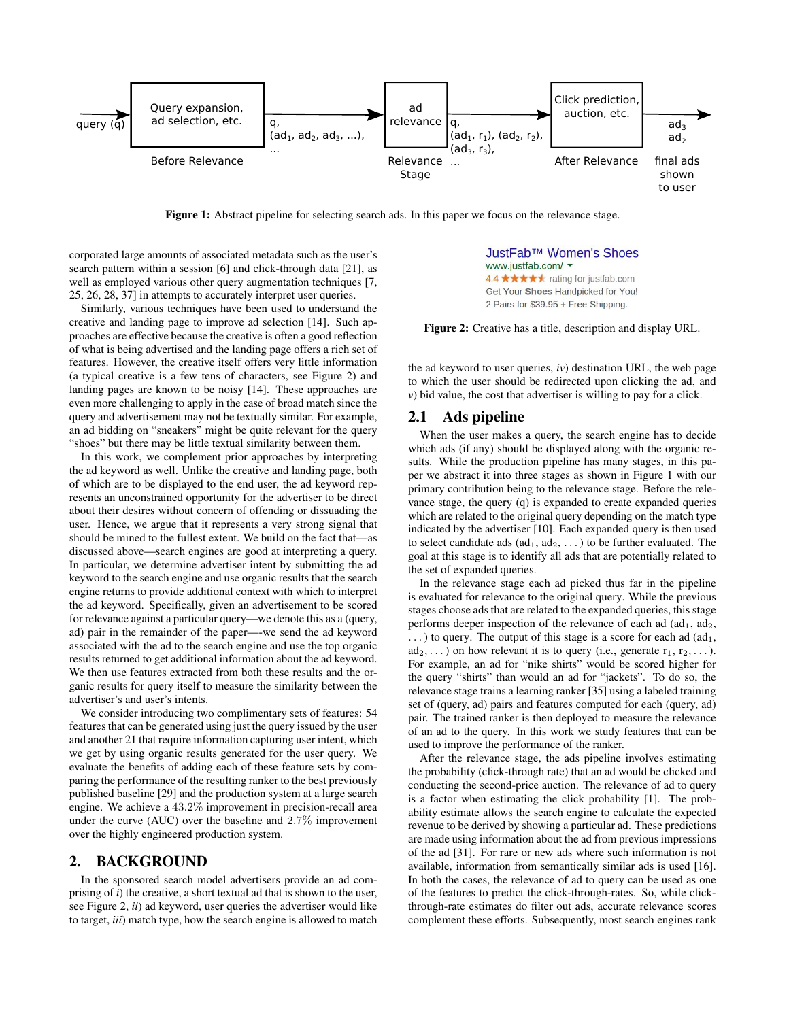

Figure 1: Abstract pipeline for selecting search ads. In this paper we focus on the relevance stage.

corporated large amounts of associated metadata such as the user's search pattern within a session [6] and click-through data [21], as well as employed various other query augmentation techniques [7, 25, 26, 28, 37] in attempts to accurately interpret user queries.

Similarly, various techniques have been used to understand the creative and landing page to improve ad selection [14]. Such approaches are effective because the creative is often a good reflection of what is being advertised and the landing page offers a rich set of features. However, the creative itself offers very little information (a typical creative is a few tens of characters, see Figure 2) and landing pages are known to be noisy [14]. These approaches are even more challenging to apply in the case of broad match since the query and advertisement may not be textually similar. For example, an ad bidding on "sneakers" might be quite relevant for the query "shoes" but there may be little textual similarity between them.

In this work, we complement prior approaches by interpreting the ad keyword as well. Unlike the creative and landing page, both of which are to be displayed to the end user, the ad keyword represents an unconstrained opportunity for the advertiser to be direct about their desires without concern of offending or dissuading the user. Hence, we argue that it represents a very strong signal that should be mined to the fullest extent. We build on the fact that—as discussed above—search engines are good at interpreting a query. In particular, we determine advertiser intent by submitting the ad keyword to the search engine and use organic results that the search engine returns to provide additional context with which to interpret the ad keyword. Specifically, given an advertisement to be scored for relevance against a particular query—we denote this as a (query, ad) pair in the remainder of the paper—-we send the ad keyword associated with the ad to the search engine and use the top organic results returned to get additional information about the ad keyword. We then use features extracted from both these results and the organic results for query itself to measure the similarity between the advertiser's and user's intents.

We consider introducing two complimentary sets of features: 54 features that can be generated using just the query issued by the user and another 21 that require information capturing user intent, which we get by using organic results generated for the user query. We evaluate the benefits of adding each of these feature sets by comparing the performance of the resulting ranker to the best previously published baseline [29] and the production system at a large search engine. We achieve a 43.2% improvement in precision-recall area under the curve (AUC) over the baseline and 2.7% improvement over the highly engineered production system.

## 2. BACKGROUND

In the sponsored search model advertisers provide an ad comprising of *i*) the creative, a short textual ad that is shown to the user, see Figure 2, *ii*) ad keyword, user queries the advertiser would like to target, *iii*) match type, how the search engine is allowed to match

#### JustFab<sup>™</sup> Women's Shoes www.justfab.com/ 4.4 ★★★★★ rating for justfab.com

Get Your Shoes Handpicked for You! 2 Pairs for \$39.95 + Free Shipping.

Figure 2: Creative has a title, description and display URL.

the ad keyword to user queries, *iv*) destination URL, the web page to which the user should be redirected upon clicking the ad, and *v*) bid value, the cost that advertiser is willing to pay for a click.

#### 2.1 Ads pipeline

When the user makes a query, the search engine has to decide which ads (if any) should be displayed along with the organic results. While the production pipeline has many stages, in this paper we abstract it into three stages as shown in Figure 1 with our primary contribution being to the relevance stage. Before the relevance stage, the query (q) is expanded to create expanded queries which are related to the original query depending on the match type indicated by the advertiser [10]. Each expanded query is then used to select candidate ads  $(ad_1, ad_2, ...)$  to be further evaluated. The goal at this stage is to identify all ads that are potentially related to the set of expanded queries.

In the relevance stage each ad picked thus far in the pipeline is evaluated for relevance to the original query. While the previous stages choose ads that are related to the expanded queries, this stage performs deeper inspection of the relevance of each ad  $(ad_1, ad_2, ad_3)$  $\ldots$ ) to query. The output of this stage is a score for each ad (ad<sub>1</sub>,  $ad_2, \ldots$ ) on how relevant it is to query (i.e., generate  $r_1, r_2, \ldots$ ). For example, an ad for "nike shirts" would be scored higher for the query "shirts" than would an ad for "jackets". To do so, the relevance stage trains a learning ranker [35] using a labeled training set of (query, ad) pairs and features computed for each (query, ad) pair. The trained ranker is then deployed to measure the relevance of an ad to the query. In this work we study features that can be used to improve the performance of the ranker.

After the relevance stage, the ads pipeline involves estimating the probability (click-through rate) that an ad would be clicked and conducting the second-price auction. The relevance of ad to query is a factor when estimating the click probability [1]. The probability estimate allows the search engine to calculate the expected revenue to be derived by showing a particular ad. These predictions are made using information about the ad from previous impressions of the ad [31]. For rare or new ads where such information is not available, information from semantically similar ads is used [16]. In both the cases, the relevance of ad to query can be used as one of the features to predict the click-through-rates. So, while clickthrough-rate estimates do filter out ads, accurate relevance scores complement these efforts. Subsequently, most search engines rank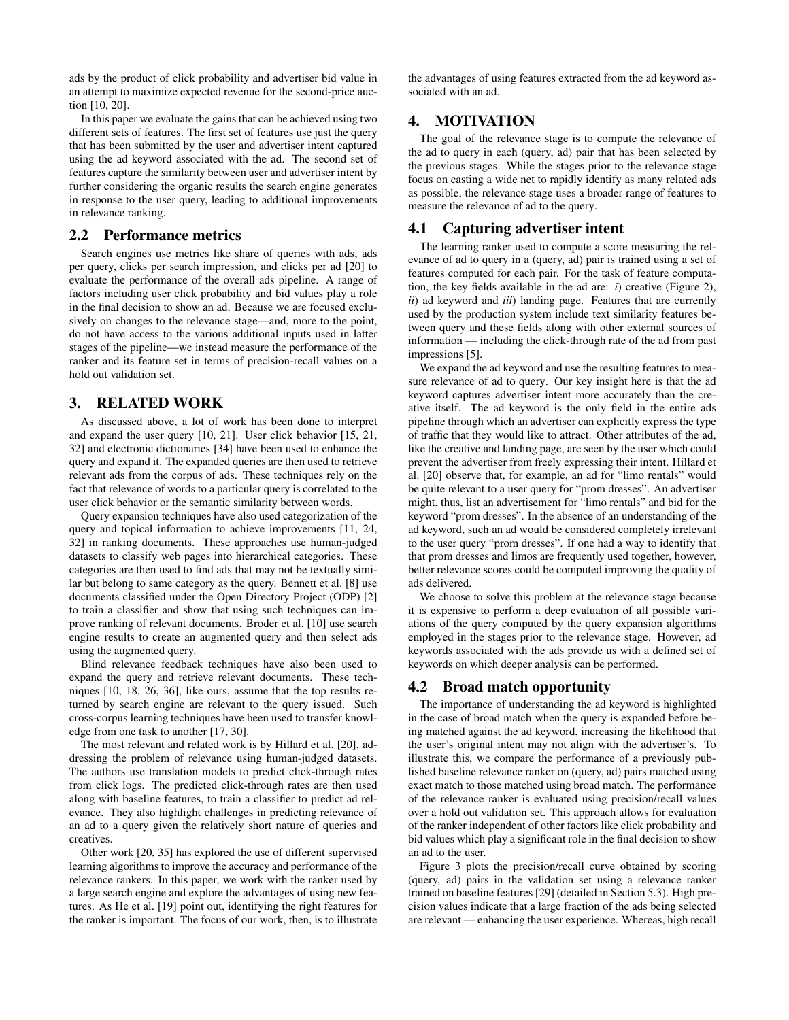ads by the product of click probability and advertiser bid value in an attempt to maximize expected revenue for the second-price auction [10, 20].

In this paper we evaluate the gains that can be achieved using two different sets of features. The first set of features use just the query that has been submitted by the user and advertiser intent captured using the ad keyword associated with the ad. The second set of features capture the similarity between user and advertiser intent by further considering the organic results the search engine generates in response to the user query, leading to additional improvements in relevance ranking.

## 2.2 Performance metrics

Search engines use metrics like share of queries with ads, ads per query, clicks per search impression, and clicks per ad [20] to evaluate the performance of the overall ads pipeline. A range of factors including user click probability and bid values play a role in the final decision to show an ad. Because we are focused exclusively on changes to the relevance stage—and, more to the point, do not have access to the various additional inputs used in latter stages of the pipeline—we instead measure the performance of the ranker and its feature set in terms of precision-recall values on a hold out validation set.

# 3. RELATED WORK

As discussed above, a lot of work has been done to interpret and expand the user query [10, 21]. User click behavior [15, 21, 32] and electronic dictionaries [34] have been used to enhance the query and expand it. The expanded queries are then used to retrieve relevant ads from the corpus of ads. These techniques rely on the fact that relevance of words to a particular query is correlated to the user click behavior or the semantic similarity between words.

Query expansion techniques have also used categorization of the query and topical information to achieve improvements [11, 24, 32] in ranking documents. These approaches use human-judged datasets to classify web pages into hierarchical categories. These categories are then used to find ads that may not be textually similar but belong to same category as the query. Bennett et al. [8] use documents classified under the Open Directory Project (ODP) [2] to train a classifier and show that using such techniques can improve ranking of relevant documents. Broder et al. [10] use search engine results to create an augmented query and then select ads using the augmented query.

Blind relevance feedback techniques have also been used to expand the query and retrieve relevant documents. These techniques [10, 18, 26, 36], like ours, assume that the top results returned by search engine are relevant to the query issued. Such cross-corpus learning techniques have been used to transfer knowledge from one task to another [17, 30].

The most relevant and related work is by Hillard et al. [20], addressing the problem of relevance using human-judged datasets. The authors use translation models to predict click-through rates from click logs. The predicted click-through rates are then used along with baseline features, to train a classifier to predict ad relevance. They also highlight challenges in predicting relevance of an ad to a query given the relatively short nature of queries and creatives.

Other work [20, 35] has explored the use of different supervised learning algorithms to improve the accuracy and performance of the relevance rankers. In this paper, we work with the ranker used by a large search engine and explore the advantages of using new features. As He et al. [19] point out, identifying the right features for the ranker is important. The focus of our work, then, is to illustrate

the advantages of using features extracted from the ad keyword associated with an ad.

# 4. MOTIVATION

The goal of the relevance stage is to compute the relevance of the ad to query in each (query, ad) pair that has been selected by the previous stages. While the stages prior to the relevance stage focus on casting a wide net to rapidly identify as many related ads as possible, the relevance stage uses a broader range of features to measure the relevance of ad to the query.

## 4.1 Capturing advertiser intent

The learning ranker used to compute a score measuring the relevance of ad to query in a (query, ad) pair is trained using a set of features computed for each pair. For the task of feature computation, the key fields available in the ad are: *i*) creative (Figure 2), *ii*) ad keyword and *iii*) landing page. Features that are currently used by the production system include text similarity features between query and these fields along with other external sources of information — including the click-through rate of the ad from past impressions [5].

We expand the ad keyword and use the resulting features to measure relevance of ad to query. Our key insight here is that the ad keyword captures advertiser intent more accurately than the creative itself. The ad keyword is the only field in the entire ads pipeline through which an advertiser can explicitly express the type of traffic that they would like to attract. Other attributes of the ad, like the creative and landing page, are seen by the user which could prevent the advertiser from freely expressing their intent. Hillard et al. [20] observe that, for example, an ad for "limo rentals" would be quite relevant to a user query for "prom dresses". An advertiser might, thus, list an advertisement for "limo rentals" and bid for the keyword "prom dresses". In the absence of an understanding of the ad keyword, such an ad would be considered completely irrelevant to the user query "prom dresses". If one had a way to identify that that prom dresses and limos are frequently used together, however, better relevance scores could be computed improving the quality of ads delivered.

We choose to solve this problem at the relevance stage because it is expensive to perform a deep evaluation of all possible variations of the query computed by the query expansion algorithms employed in the stages prior to the relevance stage. However, ad keywords associated with the ads provide us with a defined set of keywords on which deeper analysis can be performed.

## 4.2 Broad match opportunity

The importance of understanding the ad keyword is highlighted in the case of broad match when the query is expanded before being matched against the ad keyword, increasing the likelihood that the user's original intent may not align with the advertiser's. To illustrate this, we compare the performance of a previously published baseline relevance ranker on (query, ad) pairs matched using exact match to those matched using broad match. The performance of the relevance ranker is evaluated using precision/recall values over a hold out validation set. This approach allows for evaluation of the ranker independent of other factors like click probability and bid values which play a significant role in the final decision to show an ad to the user.

Figure 3 plots the precision/recall curve obtained by scoring (query, ad) pairs in the validation set using a relevance ranker trained on baseline features [29] (detailed in Section 5.3). High precision values indicate that a large fraction of the ads being selected are relevant — enhancing the user experience. Whereas, high recall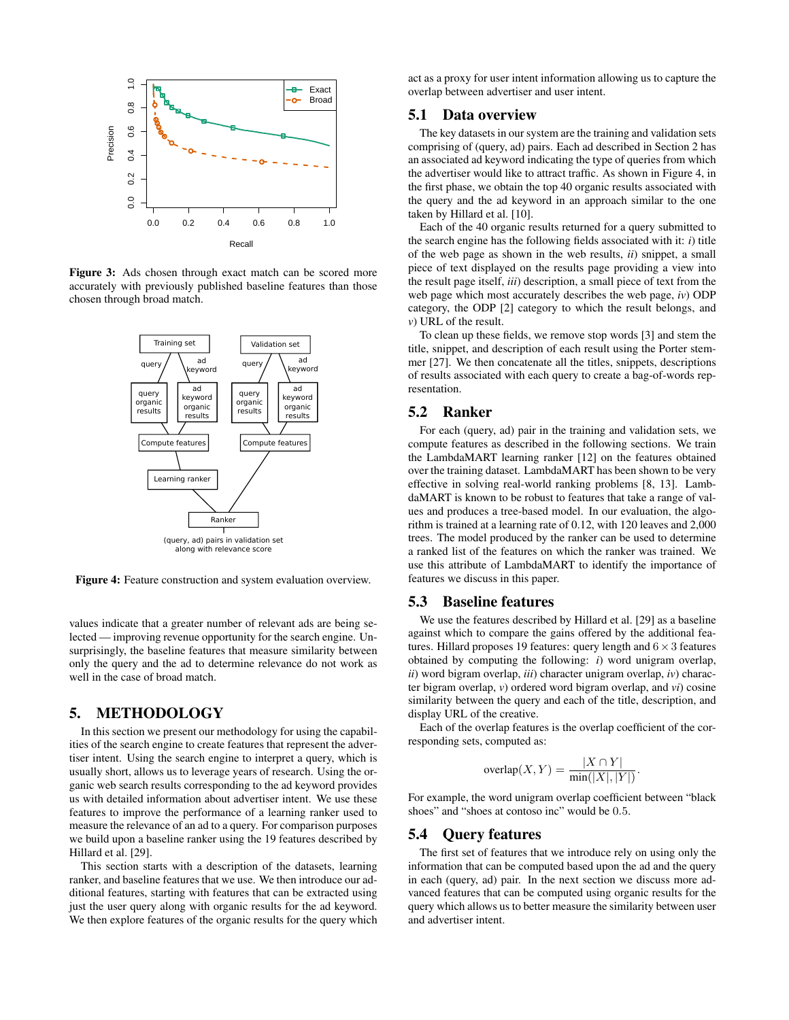

Figure 3: Ads chosen through exact match can be scored more accurately with previously published baseline features than those chosen through broad match.



Figure 4: Feature construction and system evaluation overview.

values indicate that a greater number of relevant ads are being selected — improving revenue opportunity for the search engine. Unsurprisingly, the baseline features that measure similarity between only the query and the ad to determine relevance do not work as well in the case of broad match.

#### 5. METHODOLOGY

In this section we present our methodology for using the capabilities of the search engine to create features that represent the advertiser intent. Using the search engine to interpret a query, which is usually short, allows us to leverage years of research. Using the organic web search results corresponding to the ad keyword provides us with detailed information about advertiser intent. We use these features to improve the performance of a learning ranker used to measure the relevance of an ad to a query. For comparison purposes we build upon a baseline ranker using the 19 features described by Hillard et al. [29].

This section starts with a description of the datasets, learning ranker, and baseline features that we use. We then introduce our additional features, starting with features that can be extracted using just the user query along with organic results for the ad keyword. We then explore features of the organic results for the query which act as a proxy for user intent information allowing us to capture the overlap between advertiser and user intent.

#### 5.1 Data overview

The key datasets in our system are the training and validation sets comprising of (query, ad) pairs. Each ad described in Section 2 has an associated ad keyword indicating the type of queries from which the advertiser would like to attract traffic. As shown in Figure 4, in the first phase, we obtain the top 40 organic results associated with the query and the ad keyword in an approach similar to the one taken by Hillard et al. [10].

Each of the 40 organic results returned for a query submitted to the search engine has the following fields associated with it: *i*) title of the web page as shown in the web results, *ii*) snippet, a small piece of text displayed on the results page providing a view into the result page itself, *iii*) description, a small piece of text from the web page which most accurately describes the web page, *iv*) ODP category, the ODP [2] category to which the result belongs, and *v*) URL of the result.

To clean up these fields, we remove stop words [3] and stem the title, snippet, and description of each result using the Porter stemmer [27]. We then concatenate all the titles, snippets, descriptions of results associated with each query to create a bag-of-words representation.

## 5.2 Ranker

For each (query, ad) pair in the training and validation sets, we compute features as described in the following sections. We train the LambdaMART learning ranker [12] on the features obtained over the training dataset. LambdaMART has been shown to be very effective in solving real-world ranking problems [8, 13]. LambdaMART is known to be robust to features that take a range of values and produces a tree-based model. In our evaluation, the algorithm is trained at a learning rate of 0.12, with 120 leaves and 2,000 trees. The model produced by the ranker can be used to determine a ranked list of the features on which the ranker was trained. We use this attribute of LambdaMART to identify the importance of features we discuss in this paper.

#### 5.3 Baseline features

We use the features described by Hillard et al. [29] as a baseline against which to compare the gains offered by the additional features. Hillard proposes 19 features: query length and  $6 \times 3$  features obtained by computing the following: *i*) word unigram overlap, *ii*) word bigram overlap, *iii*) character unigram overlap, *iv*) character bigram overlap, *v*) ordered word bigram overlap, and *vi*) cosine similarity between the query and each of the title, description, and display URL of the creative.

Each of the overlap features is the overlap coefficient of the corresponding sets, computed as:

$$
\operatorname{overlap}(X,Y) = \frac{|X \cap Y|}{\min(|X|,|Y|)}.
$$

For example, the word unigram overlap coefficient between "black shoes" and "shoes at contoso inc" would be  $0.5$ .

## 5.4 Query features

The first set of features that we introduce rely on using only the information that can be computed based upon the ad and the query in each (query, ad) pair. In the next section we discuss more advanced features that can be computed using organic results for the query which allows us to better measure the similarity between user and advertiser intent.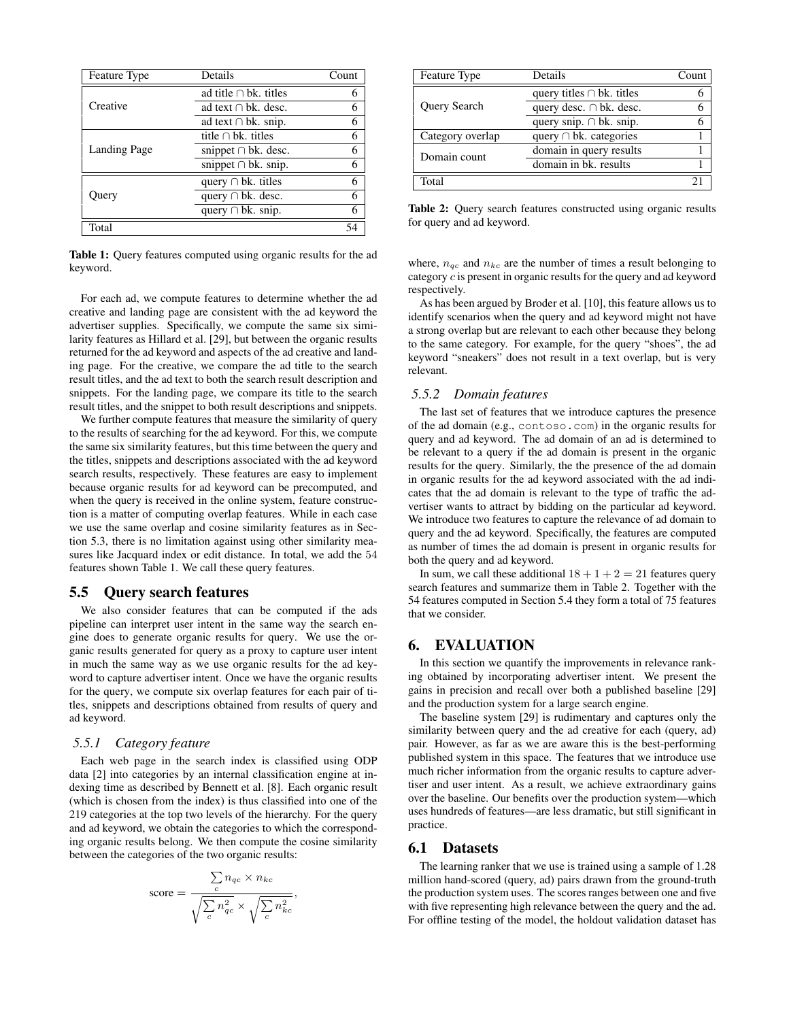| <b>Feature Type</b> | Details                    | Count |
|---------------------|----------------------------|-------|
|                     | ad title $\cap$ bk. titles | 6     |
| Creative            | ad text $\cap$ bk. desc.   | 6     |
|                     | ad text $\cap$ bk. snip.   | 6     |
|                     | title $\cap$ bk. titles    | 6     |
| Landing Page        | snippet $\cap$ bk. desc.   | 6     |
|                     | snippet $\cap$ bk. snip.   | 6     |
|                     | query $\cap$ bk. titles    | 6     |
| Query               | query $\cap$ bk. desc.     | 6     |
|                     | query $\cap$ bk. snip.     | 6     |
| Total               |                            | 54    |

Table 1: Query features computed using organic results for the ad keyword.

For each ad, we compute features to determine whether the ad creative and landing page are consistent with the ad keyword the advertiser supplies. Specifically, we compute the same six similarity features as Hillard et al. [29], but between the organic results returned for the ad keyword and aspects of the ad creative and landing page. For the creative, we compare the ad title to the search result titles, and the ad text to both the search result description and snippets. For the landing page, we compare its title to the search result titles, and the snippet to both result descriptions and snippets.

We further compute features that measure the similarity of query to the results of searching for the ad keyword. For this, we compute the same six similarity features, but this time between the query and the titles, snippets and descriptions associated with the ad keyword search results, respectively. These features are easy to implement because organic results for ad keyword can be precomputed, and when the query is received in the online system, feature construction is a matter of computing overlap features. While in each case we use the same overlap and cosine similarity features as in Section 5.3, there is no limitation against using other similarity measures like Jacquard index or edit distance. In total, we add the 54 features shown Table 1. We call these query features.

## 5.5 Query search features

We also consider features that can be computed if the ads pipeline can interpret user intent in the same way the search engine does to generate organic results for query. We use the organic results generated for query as a proxy to capture user intent in much the same way as we use organic results for the ad keyword to capture advertiser intent. Once we have the organic results for the query, we compute six overlap features for each pair of titles, snippets and descriptions obtained from results of query and ad keyword.

## *5.5.1 Category feature*

Each web page in the search index is classified using ODP data [2] into categories by an internal classification engine at indexing time as described by Bennett et al. [8]. Each organic result (which is chosen from the index) is thus classified into one of the 219 categories at the top two levels of the hierarchy. For the query and ad keyword, we obtain the categories to which the corresponding organic results belong. We then compute the cosine similarity between the categories of the two organic results:

$$
\text{score} = \frac{\sum\limits_c n_{qc} \times n_{kc}}{\sqrt{\sum\limits_c n_{qc}^2} \times \sqrt{\sum\limits_c n_{kc}^2}}
$$

,

| Feature Type     | Details                                    | Count |
|------------------|--------------------------------------------|-------|
|                  | query titles $\cap$ bk. titles             |       |
| Query Search     | query desc. $\cap$ bk. desc.               |       |
|                  | query snip. $\cap$ bk. snip.               |       |
| Category overlap | query $\cap$ bk. categories                |       |
| Domain count     | domain in query results                    |       |
|                  | $\overline{\text{domain in bk}}$ . results |       |
| Total            |                                            |       |

Table 2: Query search features constructed using organic results for query and ad keyword.

where,  $n_{qc}$  and  $n_{kc}$  are the number of times a result belonging to category c is present in organic results for the query and ad keyword respectively.

As has been argued by Broder et al. [10], this feature allows us to identify scenarios when the query and ad keyword might not have a strong overlap but are relevant to each other because they belong to the same category. For example, for the query "shoes", the ad keyword "sneakers" does not result in a text overlap, but is very relevant.

#### *5.5.2 Domain features*

The last set of features that we introduce captures the presence of the ad domain (e.g., contoso.com) in the organic results for query and ad keyword. The ad domain of an ad is determined to be relevant to a query if the ad domain is present in the organic results for the query. Similarly, the the presence of the ad domain in organic results for the ad keyword associated with the ad indicates that the ad domain is relevant to the type of traffic the advertiser wants to attract by bidding on the particular ad keyword. We introduce two features to capture the relevance of ad domain to query and the ad keyword. Specifically, the features are computed as number of times the ad domain is present in organic results for both the query and ad keyword.

In sum, we call these additional  $18 + 1 + 2 = 21$  features query search features and summarize them in Table 2. Together with the 54 features computed in Section 5.4 they form a total of 75 features that we consider.

## 6. EVALUATION

In this section we quantify the improvements in relevance ranking obtained by incorporating advertiser intent. We present the gains in precision and recall over both a published baseline [29] and the production system for a large search engine.

The baseline system [29] is rudimentary and captures only the similarity between query and the ad creative for each (query, ad) pair. However, as far as we are aware this is the best-performing published system in this space. The features that we introduce use much richer information from the organic results to capture advertiser and user intent. As a result, we achieve extraordinary gains over the baseline. Our benefits over the production system—which uses hundreds of features—are less dramatic, but still significant in practice.

## 6.1 Datasets

The learning ranker that we use is trained using a sample of 1.28 million hand-scored (query, ad) pairs drawn from the ground-truth the production system uses. The scores ranges between one and five with five representing high relevance between the query and the ad. For offline testing of the model, the holdout validation dataset has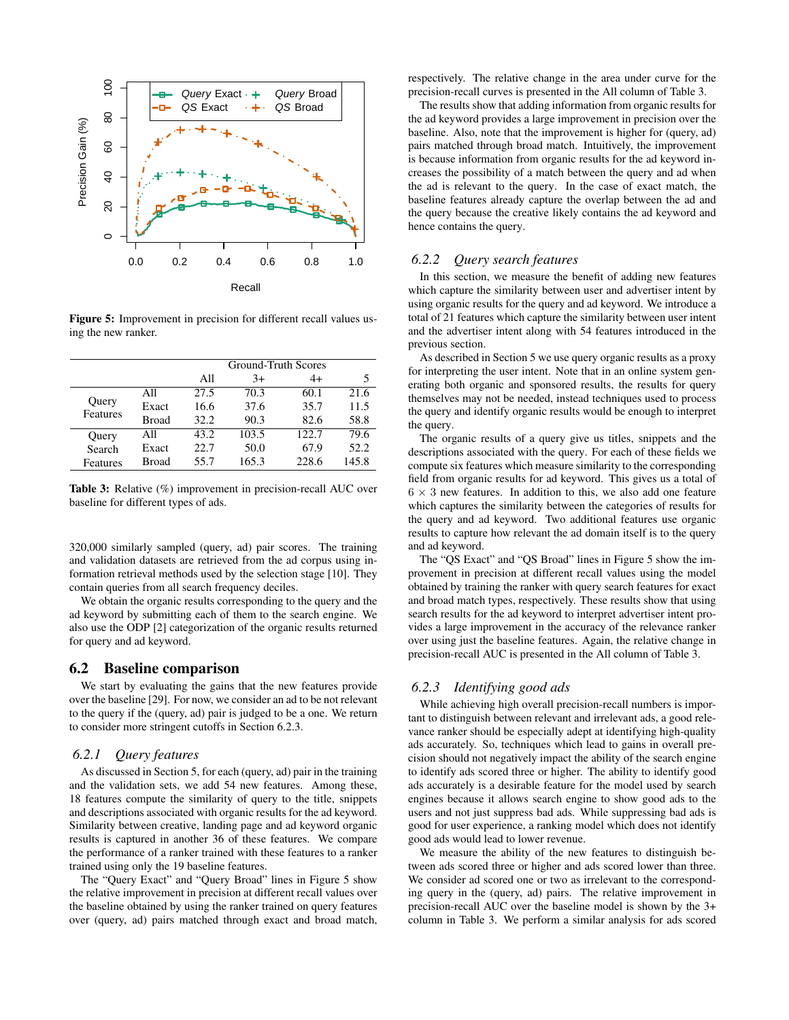

Figure 5: Improvement in precision for different recall values using the new ranker.

|                   | <b>Ground-Truth Scores</b> |      |       |       |       |
|-------------------|----------------------------|------|-------|-------|-------|
|                   |                            | All  | 3+    | 4+    | 5     |
| Query<br>Features | All                        | 27.5 | 70.3  | 60.1  | 21.6  |
|                   | Exact                      | 16.6 | 37.6  | 35.7  | 11.5  |
|                   | <b>Broad</b>               | 32.2 | 90.3  | 82.6  | 58.8  |
| Ouery             | All                        | 43.2 | 103.5 | 122.7 | 79.6  |
| Search            | Exact                      | 22.7 | 50.0  | 67.9  | 52.2  |
| Features          | <b>Broad</b>               | 55.7 | 165.3 | 228.6 | 145.8 |

Table 3: Relative (%) improvement in precision-recall AUC over baseline for different types of ads.

320,000 similarly sampled (query, ad) pair scores. The training and validation datasets are retrieved from the ad corpus using information retrieval methods used by the selection stage [10]. They contain queries from all search frequency deciles.

We obtain the organic results corresponding to the query and the ad keyword by submitting each of them to the search engine. We also use the ODP [2] categorization of the organic results returned for query and ad keyword.

## 6.2 Baseline comparison

We start by evaluating the gains that the new features provide over the baseline [29]. For now, we consider an ad to be not relevant to the query if the (query, ad) pair is judged to be a one. We return to consider more stringent cutoffs in Section 6.2.3.

#### *6.2.1 Query features*

As discussed in Section 5, for each (query, ad) pair in the training and the validation sets, we add 54 new features. Among these, 18 features compute the similarity of query to the title, snippets and descriptions associated with organic results for the ad keyword. Similarity between creative, landing page and ad keyword organic results is captured in another 36 of these features. We compare the performance of a ranker trained with these features to a ranker trained using only the 19 baseline features.

The "Query Exact" and "Query Broad" lines in Figure 5 show the relative improvement in precision at different recall values over the baseline obtained by using the ranker trained on query features over (query, ad) pairs matched through exact and broad match,

respectively. The relative change in the area under curve for the precision-recall curves is presented in the All column of Table 3.

The results show that adding information from organic results for the ad keyword provides a large improvement in precision over the baseline. Also, note that the improvement is higher for (query, ad) pairs matched through broad match. Intuitively, the improvement is because information from organic results for the ad keyword increases the possibility of a match between the query and ad when the ad is relevant to the query. In the case of exact match, the baseline features already capture the overlap between the ad and the query because the creative likely contains the ad keyword and hence contains the query.

# *6.2.2 Query search features*

In this section, we measure the benefit of adding new features which capture the similarity between user and advertiser intent by using organic results for the query and ad keyword. We introduce a total of 21 features which capture the similarity between user intent and the advertiser intent along with 54 features introduced in the previous section.

As described in Section 5 we use query organic results as a proxy for interpreting the user intent. Note that in an online system generating both organic and sponsored results, the results for query themselves may not be needed, instead techniques used to process the query and identify organic results would be enough to interpret the query.

The organic results of a query give us titles, snippets and the descriptions associated with the query. For each of these fields we compute six features which measure similarity to the corresponding field from organic results for ad keyword. This gives us a total of  $6 \times 3$  new features. In addition to this, we also add one feature which captures the similarity between the categories of results for the query and ad keyword. Two additional features use organic results to capture how relevant the ad domain itself is to the query and ad keyword.

The "QS Exact" and "QS Broad" lines in Figure 5 show the improvement in precision at different recall values using the model obtained by training the ranker with query search features for exact and broad match types, respectively. These results show that using search results for the ad keyword to interpret advertiser intent provides a large improvement in the accuracy of the relevance ranker over using just the baseline features. Again, the relative change in precision-recall AUC is presented in the All column of Table 3.

## *6.2.3 Identifying good ads*

While achieving high overall precision-recall numbers is important to distinguish between relevant and irrelevant ads, a good relevance ranker should be especially adept at identifying high-quality ads accurately. So, techniques which lead to gains in overall precision should not negatively impact the ability of the search engine to identify ads scored three or higher. The ability to identify good ads accurately is a desirable feature for the model used by search engines because it allows search engine to show good ads to the users and not just suppress bad ads. While suppressing bad ads is good for user experience, a ranking model which does not identify good ads would lead to lower revenue.

We measure the ability of the new features to distinguish between ads scored three or higher and ads scored lower than three. We consider ad scored one or two as irrelevant to the corresponding query in the (query, ad) pairs. The relative improvement in precision-recall AUC over the baseline model is shown by the 3+ column in Table 3. We perform a similar analysis for ads scored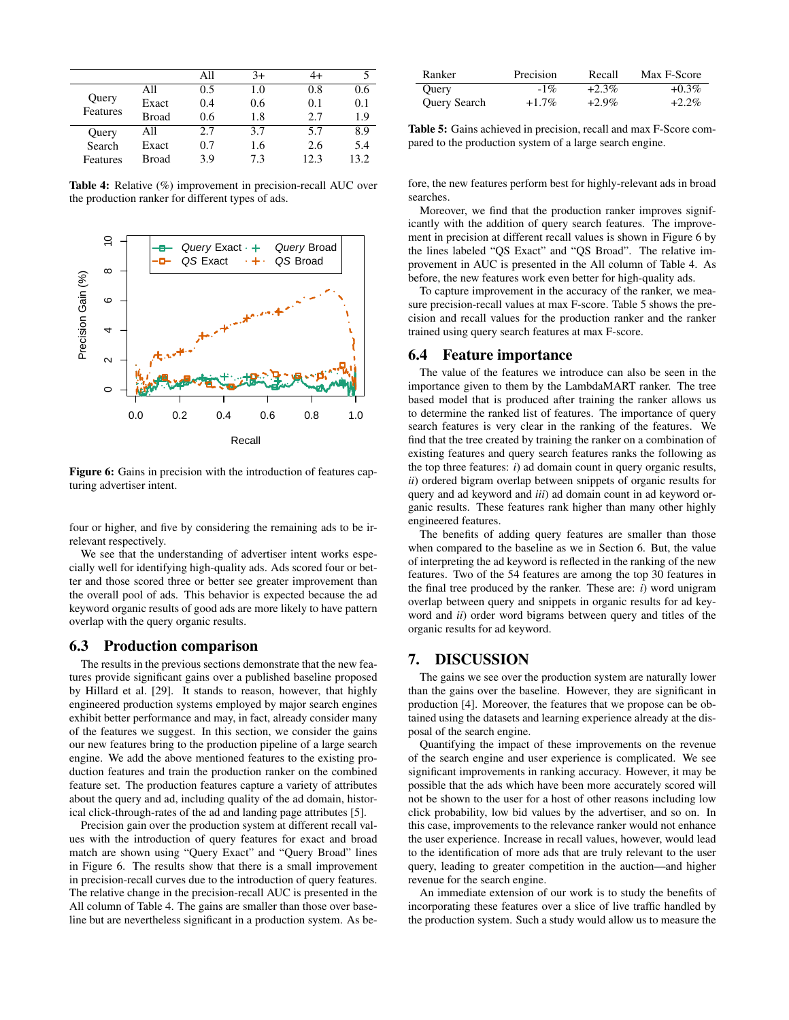|                   |              | All | 3+  |      |      |
|-------------------|--------------|-----|-----|------|------|
| Query<br>Features | All          | 0.5 | 1.0 | 0.8  | 0.6  |
|                   | Exact        | 0.4 | 0.6 | 0.1  | 0.1  |
|                   | <b>Broad</b> | 0.6 | 1.8 | 2.7  | 1.9  |
| Query             | All          | 2.7 | 3.7 | 5.7  | 8.9  |
| Search            | Exact        | 0.7 | 1.6 | 2.6  | 5.4  |
| Features          | <b>Broad</b> | 3.9 | 7.3 | 12.3 | 13.2 |

Table 4: Relative (%) improvement in precision-recall AUC over the production ranker for different types of ads.



Figure 6: Gains in precision with the introduction of features capturing advertiser intent.

four or higher, and five by considering the remaining ads to be irrelevant respectively.

We see that the understanding of advertiser intent works especially well for identifying high-quality ads. Ads scored four or better and those scored three or better see greater improvement than the overall pool of ads. This behavior is expected because the ad keyword organic results of good ads are more likely to have pattern overlap with the query organic results.

#### 6.3 Production comparison

The results in the previous sections demonstrate that the new features provide significant gains over a published baseline proposed by Hillard et al. [29]. It stands to reason, however, that highly engineered production systems employed by major search engines exhibit better performance and may, in fact, already consider many of the features we suggest. In this section, we consider the gains our new features bring to the production pipeline of a large search engine. We add the above mentioned features to the existing production features and train the production ranker on the combined feature set. The production features capture a variety of attributes about the query and ad, including quality of the ad domain, historical click-through-rates of the ad and landing page attributes [5].

Precision gain over the production system at different recall values with the introduction of query features for exact and broad match are shown using "Query Exact" and "Query Broad" lines in Figure 6. The results show that there is a small improvement in precision-recall curves due to the introduction of query features. The relative change in the precision-recall AUC is presented in the All column of Table 4. The gains are smaller than those over baseline but are nevertheless significant in a production system. As be-

| Ranker       | Precision | Recall   | Max F-Score |
|--------------|-----------|----------|-------------|
| Ouery        | $-1\%$    | $+2.3\%$ | $+0.3\%$    |
| Query Search | $+1.7\%$  | $+2.9\%$ | $+2.2\%$    |

Table 5: Gains achieved in precision, recall and max F-Score compared to the production system of a large search engine.

fore, the new features perform best for highly-relevant ads in broad searches.

Moreover, we find that the production ranker improves significantly with the addition of query search features. The improvement in precision at different recall values is shown in Figure 6 by the lines labeled "QS Exact" and "QS Broad". The relative improvement in AUC is presented in the All column of Table 4. As before, the new features work even better for high-quality ads.

To capture improvement in the accuracy of the ranker, we measure precision-recall values at max F-score. Table 5 shows the precision and recall values for the production ranker and the ranker trained using query search features at max F-score.

#### 6.4 Feature importance

The value of the features we introduce can also be seen in the importance given to them by the LambdaMART ranker. The tree based model that is produced after training the ranker allows us to determine the ranked list of features. The importance of query search features is very clear in the ranking of the features. We find that the tree created by training the ranker on a combination of existing features and query search features ranks the following as the top three features: *i*) ad domain count in query organic results, *ii*) ordered bigram overlap between snippets of organic results for query and ad keyword and *iii*) ad domain count in ad keyword organic results. These features rank higher than many other highly engineered features.

The benefits of adding query features are smaller than those when compared to the baseline as we in Section 6. But, the value of interpreting the ad keyword is reflected in the ranking of the new features. Two of the 54 features are among the top 30 features in the final tree produced by the ranker. These are: *i*) word unigram overlap between query and snippets in organic results for ad keyword and *ii*) order word bigrams between query and titles of the organic results for ad keyword.

## 7. DISCUSSION

The gains we see over the production system are naturally lower than the gains over the baseline. However, they are significant in production [4]. Moreover, the features that we propose can be obtained using the datasets and learning experience already at the disposal of the search engine.

Quantifying the impact of these improvements on the revenue of the search engine and user experience is complicated. We see significant improvements in ranking accuracy. However, it may be possible that the ads which have been more accurately scored will not be shown to the user for a host of other reasons including low click probability, low bid values by the advertiser, and so on. In this case, improvements to the relevance ranker would not enhance the user experience. Increase in recall values, however, would lead to the identification of more ads that are truly relevant to the user query, leading to greater competition in the auction—and higher revenue for the search engine.

An immediate extension of our work is to study the benefits of incorporating these features over a slice of live traffic handled by the production system. Such a study would allow us to measure the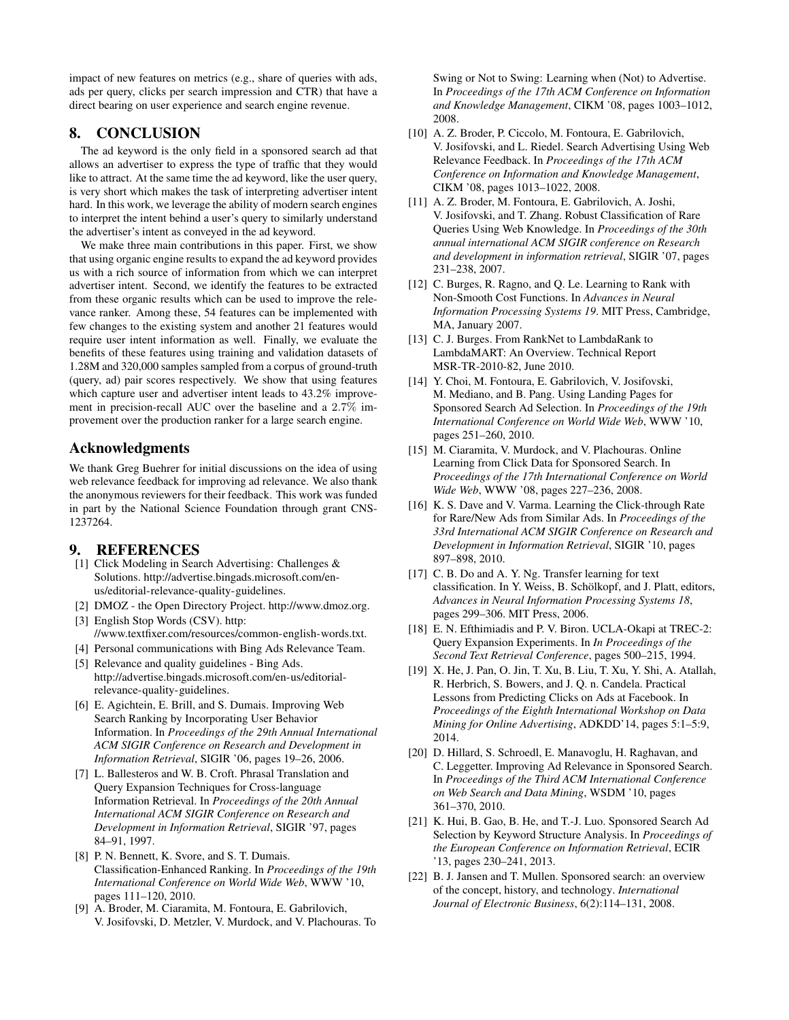impact of new features on metrics (e.g., share of queries with ads, ads per query, clicks per search impression and CTR) that have a direct bearing on user experience and search engine revenue.

# 8. CONCLUSION

The ad keyword is the only field in a sponsored search ad that allows an advertiser to express the type of traffic that they would like to attract. At the same time the ad keyword, like the user query, is very short which makes the task of interpreting advertiser intent hard. In this work, we leverage the ability of modern search engines to interpret the intent behind a user's query to similarly understand the advertiser's intent as conveyed in the ad keyword.

We make three main contributions in this paper. First, we show that using organic engine results to expand the ad keyword provides us with a rich source of information from which we can interpret advertiser intent. Second, we identify the features to be extracted from these organic results which can be used to improve the relevance ranker. Among these, 54 features can be implemented with few changes to the existing system and another 21 features would require user intent information as well. Finally, we evaluate the benefits of these features using training and validation datasets of 1.28M and 320,000 samples sampled from a corpus of ground-truth (query, ad) pair scores respectively. We show that using features which capture user and advertiser intent leads to 43.2% improvement in precision-recall AUC over the baseline and a 2.7% improvement over the production ranker for a large search engine.

# Acknowledgments

We thank Greg Buehrer for initial discussions on the idea of using web relevance feedback for improving ad relevance. We also thank the anonymous reviewers for their feedback. This work was funded in part by the National Science Foundation through grant CNS-1237264.

# 9. REFERENCES

- [1] Click Modeling in Search Advertising: Challenges & Solutions. http://advertise.bingads.microsoft.com/enus/editorial-relevance-quality-guidelines.
- [2] DMOZ the Open Directory Project. http://www.dmoz.org.
- [3] English Stop Words (CSV). http: //www.textfixer.com/resources/common-english-words.txt.
- [4] Personal communications with Bing Ads Relevance Team.
- [5] Relevance and quality guidelines Bing Ads. http://advertise.bingads.microsoft.com/en-us/editorialrelevance-quality-guidelines.
- [6] E. Agichtein, E. Brill, and S. Dumais. Improving Web Search Ranking by Incorporating User Behavior Information. In *Proceedings of the 29th Annual International ACM SIGIR Conference on Research and Development in Information Retrieval*, SIGIR '06, pages 19–26, 2006.
- [7] L. Ballesteros and W. B. Croft. Phrasal Translation and Query Expansion Techniques for Cross-language Information Retrieval. In *Proceedings of the 20th Annual International ACM SIGIR Conference on Research and Development in Information Retrieval*, SIGIR '97, pages 84–91, 1997.
- [8] P. N. Bennett, K. Svore, and S. T. Dumais. Classification-Enhanced Ranking. In *Proceedings of the 19th International Conference on World Wide Web*, WWW '10, pages 111–120, 2010.
- [9] A. Broder, M. Ciaramita, M. Fontoura, E. Gabrilovich, V. Josifovski, D. Metzler, V. Murdock, and V. Plachouras. To

Swing or Not to Swing: Learning when (Not) to Advertise. In *Proceedings of the 17th ACM Conference on Information and Knowledge Management*, CIKM '08, pages 1003–1012, 2008.

- [10] A. Z. Broder, P. Ciccolo, M. Fontoura, E. Gabrilovich, V. Josifovski, and L. Riedel. Search Advertising Using Web Relevance Feedback. In *Proceedings of the 17th ACM Conference on Information and Knowledge Management*, CIKM '08, pages 1013–1022, 2008.
- [11] A. Z. Broder, M. Fontoura, E. Gabrilovich, A. Joshi, V. Josifovski, and T. Zhang. Robust Classification of Rare Queries Using Web Knowledge. In *Proceedings of the 30th annual international ACM SIGIR conference on Research and development in information retrieval*, SIGIR '07, pages 231–238, 2007.
- [12] C. Burges, R. Ragno, and Q. Le. Learning to Rank with Non-Smooth Cost Functions. In *Advances in Neural Information Processing Systems 19*. MIT Press, Cambridge, MA, January 2007.
- [13] C. J. Burges. From RankNet to LambdaRank to LambdaMART: An Overview. Technical Report MSR-TR-2010-82, June 2010.
- [14] Y. Choi, M. Fontoura, E. Gabrilovich, V. Josifovski, M. Mediano, and B. Pang. Using Landing Pages for Sponsored Search Ad Selection. In *Proceedings of the 19th International Conference on World Wide Web*, WWW '10, pages 251–260, 2010.
- [15] M. Ciaramita, V. Murdock, and V. Plachouras. Online Learning from Click Data for Sponsored Search. In *Proceedings of the 17th International Conference on World Wide Web*, WWW '08, pages 227–236, 2008.
- [16] K. S. Dave and V. Varma. Learning the Click-through Rate for Rare/New Ads from Similar Ads. In *Proceedings of the 33rd International ACM SIGIR Conference on Research and Development in Information Retrieval*, SIGIR '10, pages 897–898, 2010.
- [17] C. B. Do and A. Y. Ng. Transfer learning for text classification. In Y. Weiss, B. Schölkopf, and J. Platt, editors, *Advances in Neural Information Processing Systems 18*, pages 299–306. MIT Press, 2006.
- [18] E. N. Efthimiadis and P. V. Biron. UCLA-Okapi at TREC-2: Query Expansion Experiments. In *In Proceedings of the Second Text Retrieval Conference*, pages 500–215, 1994.
- [19] X. He, J. Pan, O. Jin, T. Xu, B. Liu, T. Xu, Y. Shi, A. Atallah, R. Herbrich, S. Bowers, and J. Q. n. Candela. Practical Lessons from Predicting Clicks on Ads at Facebook. In *Proceedings of the Eighth International Workshop on Data Mining for Online Advertising*, ADKDD'14, pages 5:1–5:9, 2014.
- [20] D. Hillard, S. Schroedl, E. Manavoglu, H. Raghavan, and C. Leggetter. Improving Ad Relevance in Sponsored Search. In *Proceedings of the Third ACM International Conference on Web Search and Data Mining*, WSDM '10, pages 361–370, 2010.
- [21] K. Hui, B. Gao, B. He, and T.-J. Luo. Sponsored Search Ad Selection by Keyword Structure Analysis. In *Proceedings of the European Conference on Information Retrieval*, ECIR '13, pages 230–241, 2013.
- [22] B. J. Jansen and T. Mullen. Sponsored search: an overview of the concept, history, and technology. *International Journal of Electronic Business*, 6(2):114–131, 2008.